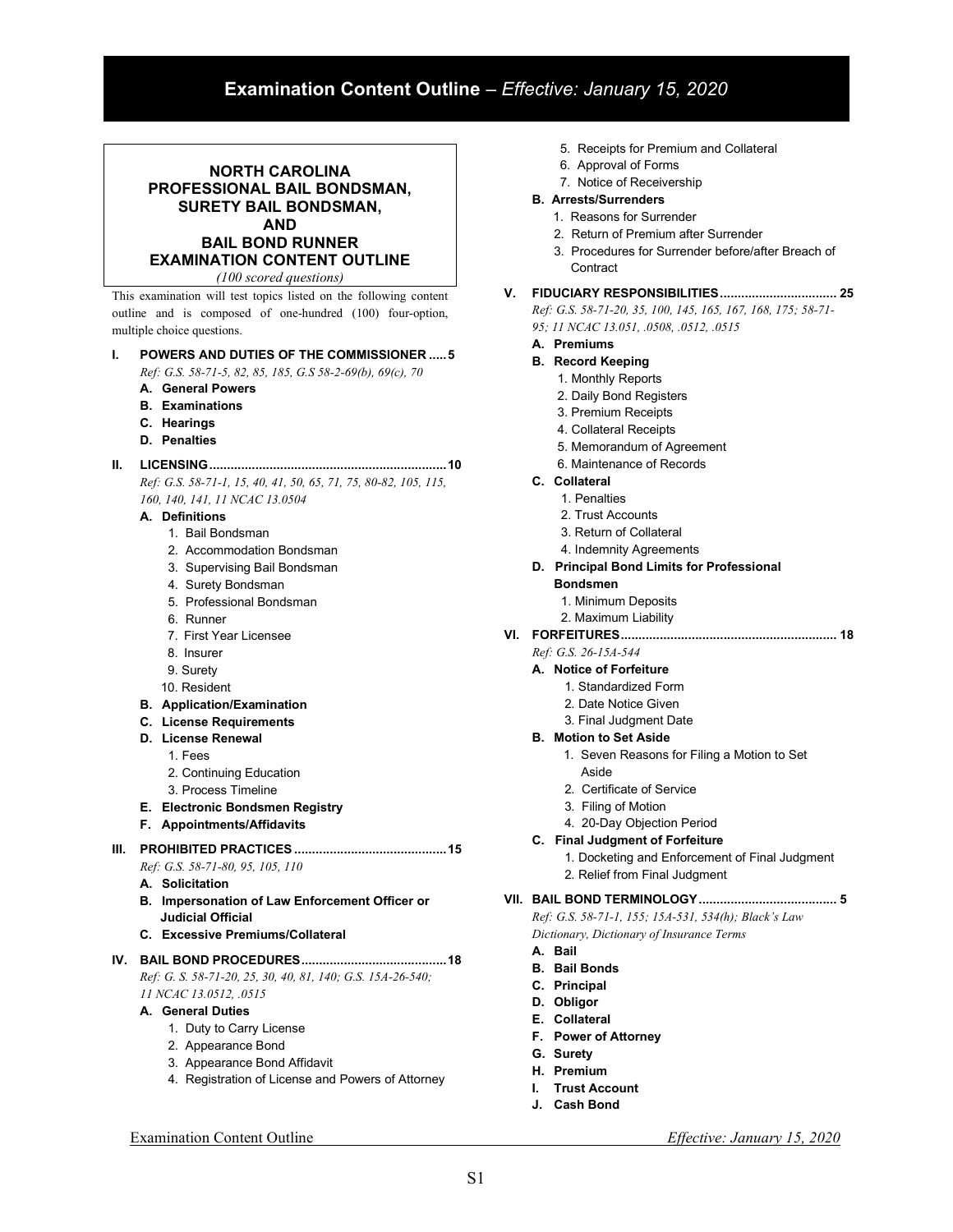# Examination Content Outline – Effective: January 15, 2020

# NORTH CAROLINA PROFESSIONAL BAIL BONDSMAN, SURETY BAIL BONDSMAN, AND BAIL BOND RUNNER EXAMINATION CONTENT OUTLINE (100 scored questions)

This examination will test topics listed on the following content outline and is composed of one-hundred (100) four-option, multiple choice questions.

#### I. POWERS AND DUTIES OF THE COMMISSIONER ..... 5

Ref: G.S. 58-71-5, 82, 85, 185, G.S 58-2-69(b), 69(c), 70

- A. General Powers
- B. Examinations
- C. Hearings
- D. Penalties

## II. LICENSING ................................................................... 10

Ref: G.S. 58-71-1, 15, 40, 41, 50, 65, 71, 75, 80-82, 105, 115, 160, 140, 141, 11 NCAC 13.0504

#### A. Definitions

- 1. Bail Bondsman
- 2. Accommodation Bondsman
- 3. Supervising Bail Bondsman
- 4. Surety Bondsman
- 5. Professional Bondsman
- 6. Runner
- 7. First Year Licensee
- 8. Insurer
- 9. Surety
- 10. Resident
- B. Application/Examination
- C. License Requirements
- D. License Renewal
	- 1. Fees
	- 2. Continuing Education
	- 3. Process Timeline
- E. Electronic Bondsmen Registry
- F. Appointments/Affidavits

#### III. PROHIBITED PRACTICES ........................................... 15

- Ref: G.S. 58-71-80, 95, 105, 110
- A. Solicitation
- B. Impersonation of Law Enforcement Officer or Judicial Official
- C. Excessive Premiums/Collateral

### IV. BAIL BOND PROCEDURES ......................................... 18 Ref: G. S. 58-71-20, 25, 30, 40, 81, 140; G.S. 15A-26-540; 11 NCAC 13.0512, .0515

#### A. General Duties

- 1. Duty to Carry License
- 2. Appearance Bond
- 3. Appearance Bond Affidavit
- 4. Registration of License and Powers of Attorney
- 5. Receipts for Premium and Collateral
- 6. Approval of Forms
- 7. Notice of Receivership

# B. Arrests/Surrenders

- 1. Reasons for Surrender
- 2. Return of Premium after Surrender
- 3. Procedures for Surrender before/after Breach of **Contract**

### V. FIDUCIARY RESPONSIBILITIES ................................. 25 Ref: G.S. 58-71-20, 35, 100, 145, 165, 167, 168, 175; 58-71-

95; 11 NCAC 13.051, .0508, .0512, .0515

#### A. Premiums

- B. Record Keeping
	- 1. Monthly Reports
		- 2. Daily Bond Registers
		- 3. Premium Receipts
		- 4. Collateral Receipts
		- 5. Memorandum of Agreement
		- 6. Maintenance of Records

#### C. Collateral

- 1. Penalties
	- 2. Trust Accounts
	- 3. Return of Collateral
	- 4. Indemnity Agreements

#### D. Principal Bond Limits for Professional Bondsmen

- 1. Minimum Deposits
- 2. Maximum Liability
- 

# VI. FORFEITURES ............................................................. 18

# Ref: G.S. 26-15A-544

- A. Notice of Forfeiture
	- 1. Standardized Form
	- 2. Date Notice Given
	- 3. Final Judgment Date

#### B. Motion to Set Aside

- 1. Seven Reasons for Filing a Motion to Set Aside
- 2. Certificate of Service
- 3. Filing of Motion
- 4. 20-Day Objection Period
- C. Final Judgment of Forfeiture
	- 1. Docketing and Enforcement of Final Judgment 2. Relief from Final Judgment

# VII. BAIL BOND TERMINOLOGY ....................................... 5

Ref: G.S. 58-71-1, 155; 15A-531, 534(h); Black's Law Dictionary, Dictionary of Insurance Terms

- A. Bail
- B. Bail Bonds
- C. Principal
- D. Obligor
- E. Collateral
- F. Power of Attorney
- G. Surety
- H. Premium
- I. Trust Account
- J. Cash Bond

Examination Content Outline Effective: January 15, 2020